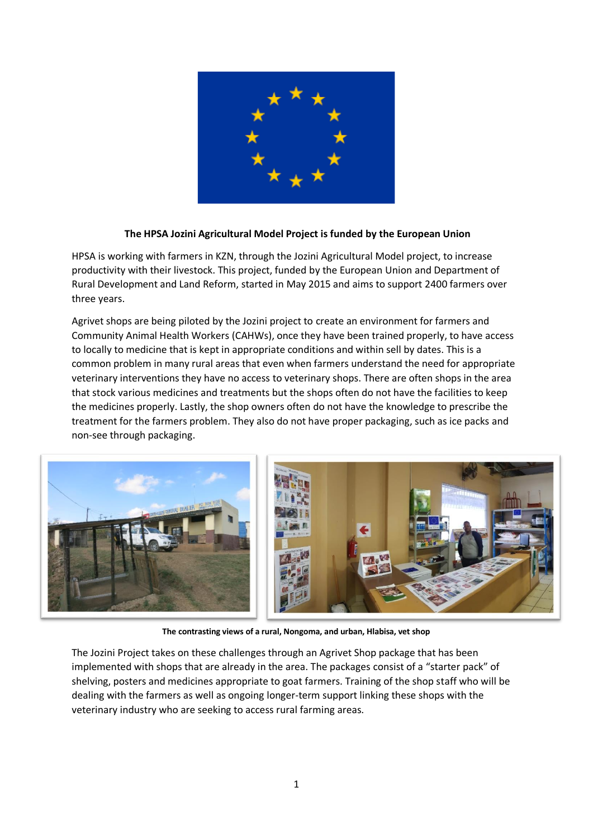

## **The HPSA Jozini Agricultural Model Project is funded by the European Union**

HPSA is working with farmers in KZN, through the Jozini Agricultural Model project, to increase productivity with their livestock. This project, funded by the European Union and Department of Rural Development and Land Reform, started in May 2015 and aims to support 2400 farmers over three years.

Agrivet shops are being piloted by the Jozini project to create an environment for farmers and Community Animal Health Workers (CAHWs), once they have been trained properly, to have access to locally to medicine that is kept in appropriate conditions and within sell by dates. This is a common problem in many rural areas that even when farmers understand the need for appropriate veterinary interventions they have no access to veterinary shops. There are often shops in the area that stock various medicines and treatments but the shops often do not have the facilities to keep the medicines properly. Lastly, the shop owners often do not have the knowledge to prescribe the treatment for the farmers problem. They also do not have proper packaging, such as ice packs and non-see through packaging.



**The contrasting views of a rural, Nongoma, and urban, Hlabisa, vet shop**

The Jozini Project takes on these challenges through an Agrivet Shop package that has been implemented with shops that are already in the area. The packages consist of a "starter pack" of shelving, posters and medicines appropriate to goat farmers. Training of the shop staff who will be dealing with the farmers as well as ongoing longer-term support linking these shops with the veterinary industry who are seeking to access rural farming areas.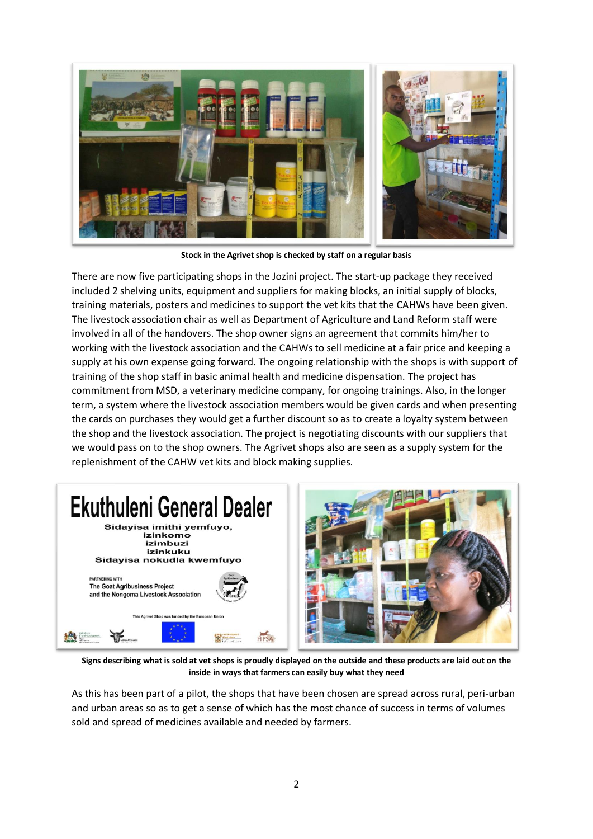

**Stock in the Agrivet shop is checked by staff on a regular basis**

There are now five participating shops in the Jozini project. The start-up package they received included 2 shelving units, equipment and suppliers for making blocks, an initial supply of blocks, training materials, posters and medicines to support the vet kits that the CAHWs have been given. The livestock association chair as well as Department of Agriculture and Land Reform staff were involved in all of the handovers. The shop owner signs an agreement that commits him/her to working with the livestock association and the CAHWs to sell medicine at a fair price and keeping a supply at his own expense going forward. The ongoing relationship with the shops is with support of training of the shop staff in basic animal health and medicine dispensation. The project has commitment from MSD, a veterinary medicine company, for ongoing trainings. Also, in the longer term, a system where the livestock association members would be given cards and when presenting the cards on purchases they would get a further discount so as to create a loyalty system between the shop and the livestock association. The project is negotiating discounts with our suppliers that we would pass on to the shop owners. The Agrivet shops also are seen as a supply system for the replenishment of the CAHW vet kits and block making supplies.





**Signs describing what is sold at vet shops is proudly displayed on the outside and these products are laid out on the inside in ways that farmers can easily buy what they need**

As this has been part of a pilot, the shops that have been chosen are spread across rural, peri-urban and urban areas so as to get a sense of which has the most chance of success in terms of volumes sold and spread of medicines available and needed by farmers.